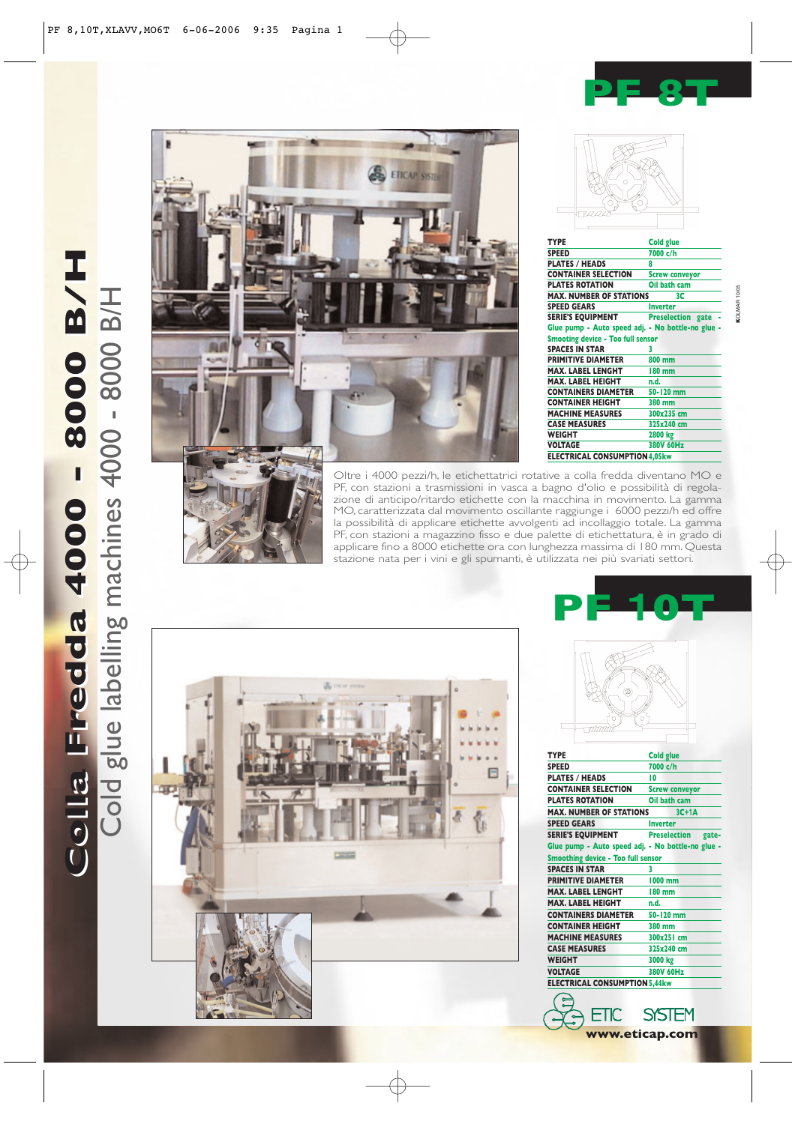## **PF 8T**

Cold glue labelling machines 4000 - 8000 B/H

**ETICAP SYS** 



| <b>TYPE</b>                                       | <b>Cold glue</b>      |  |
|---------------------------------------------------|-----------------------|--|
| <b>SPEED</b>                                      | 7000 c/h              |  |
| <b>PLATES / HEADS</b>                             | 8                     |  |
| <b>CONTAINER SELECTION</b>                        | <b>Screw conveyor</b> |  |
| <b>PLATES ROTATION</b>                            | Oil bath cam          |  |
| <b>MAX. NUMBER OF STATIONS</b>                    | 3C                    |  |
| <b>SPEED GEARS</b>                                | <b>Inverter</b>       |  |
| <b>SERIE'S EQUIPMENT</b>                          | Preselection gate -   |  |
| Glue pump - Auto speed adj. - No bottle-no glue - |                       |  |
| <b>Smooting device - Too full sensor</b>          |                       |  |
| <b>SPACES IN STAR</b>                             | 3                     |  |
| <b>PRIMITIVE DIAMETER</b>                         | 800 mm                |  |
| <b>MAX. LABEL LENGHT</b>                          | 180 mm                |  |
| <b>MAX. LABEL HEIGHT</b>                          | n.d.                  |  |
| <b>CONTAINERS DIAMETER</b>                        | 50-120 mm             |  |
| <b>CONTAINER HEIGHT</b>                           | 380 mm                |  |
| <b>MACHINE MEASURES</b>                           | 300x235 cm            |  |
| <b>CASE MEASURES</b>                              | 325x240 cm            |  |
| WEIGHT                                            | 2800 kg               |  |
| VOLTAGE                                           | 380V 60Hz             |  |
| <b>ELECTRICAL CONSUMPTION 4,05kw</b>              |                       |  |
|                                                   |                       |  |

**K**OLMAR 10/05

**KOLMAR 10/05** 



Oltre i 4000 pezzi/h, le etichettatrici rotative a colla fredda diventano MO e PF, con stazioni a trasmissioni in vasca a bagno d'olio e possibilità di regolazione di anticipo/ritardo etichette con la macchina in movimento. La gamma MO, caratterizzata dal movimento oscillante raggiunge i 6000 pezzi/h ed offre la possibilità di applicare etichette avvolgenti ad incollaggio totale. La gamma PF, con stazioni a magazzino fisso e due palette di etichettatura, è in grado di applicare fino a 8000 etichette ora con lunghezza massima di 180 mm. Questa stazione nata per i vini e gli spumanti, è utilizzata nei più svariati settori.



| 0                                                                                                                                                                                                                                                                                                                                                                                                                               |                       |
|---------------------------------------------------------------------------------------------------------------------------------------------------------------------------------------------------------------------------------------------------------------------------------------------------------------------------------------------------------------------------------------------------------------------------------|-----------------------|
| <b>TYPE</b>                                                                                                                                                                                                                                                                                                                                                                                                                     | <b>Cold glue</b>      |
| <b>SPEED</b>                                                                                                                                                                                                                                                                                                                                                                                                                    | 7000 c/h              |
| <b>PLATES / HEADS</b>                                                                                                                                                                                                                                                                                                                                                                                                           | 10                    |
| <b>CONTAINER SELECTION</b>                                                                                                                                                                                                                                                                                                                                                                                                      | <b>Screw conveyor</b> |
| <b>PLATES ROTATION</b>                                                                                                                                                                                                                                                                                                                                                                                                          | Oil bath cam          |
| <b>MAX. NUMBER OF STATIONS</b>                                                                                                                                                                                                                                                                                                                                                                                                  | $3C+1A$               |
| <b>SPEED GEARS</b>                                                                                                                                                                                                                                                                                                                                                                                                              | <b>Inverter</b>       |
|                                                                                                                                                                                                                                                                                                                                                                                                                                 |                       |
|                                                                                                                                                                                                                                                                                                                                                                                                                                 | <b>Preselection</b>   |
|                                                                                                                                                                                                                                                                                                                                                                                                                                 |                       |
|                                                                                                                                                                                                                                                                                                                                                                                                                                 |                       |
|                                                                                                                                                                                                                                                                                                                                                                                                                                 | 3                     |
|                                                                                                                                                                                                                                                                                                                                                                                                                                 | gate-<br>1000 mm      |
|                                                                                                                                                                                                                                                                                                                                                                                                                                 | 180 mm                |
|                                                                                                                                                                                                                                                                                                                                                                                                                                 | n.d.                  |
|                                                                                                                                                                                                                                                                                                                                                                                                                                 | 50-120 mm             |
|                                                                                                                                                                                                                                                                                                                                                                                                                                 | 380 mm                |
|                                                                                                                                                                                                                                                                                                                                                                                                                                 | 300x251 cm            |
|                                                                                                                                                                                                                                                                                                                                                                                                                                 | 325x240 cm            |
|                                                                                                                                                                                                                                                                                                                                                                                                                                 | 3000 kg               |
|                                                                                                                                                                                                                                                                                                                                                                                                                                 | 380V 60Hz             |
| <b>SERIE'S EQUIPMENT</b><br>Glue pump - Auto speed adj. - No bottle-no glue -<br><b>Smoothing device - Too full sensor</b><br><b>SPACES IN STAR</b><br><b>PRIMITIVE DIAMETER</b><br><b>MAX. LABEL LENGHT</b><br><b>MAX. LABEL HEIGHT</b><br><b>CONTAINERS DIAMETER</b><br><b>CONTAINER HEIGHT</b><br><b>MACHINE MEASURES</b><br><b>CASE MEASURES</b><br><b>WEIGHT</b><br><b>VOLTAGE</b><br><b>ELECTRICAL CONSUMPTION 5,44kw</b> |                       |

**www.eticap.com**